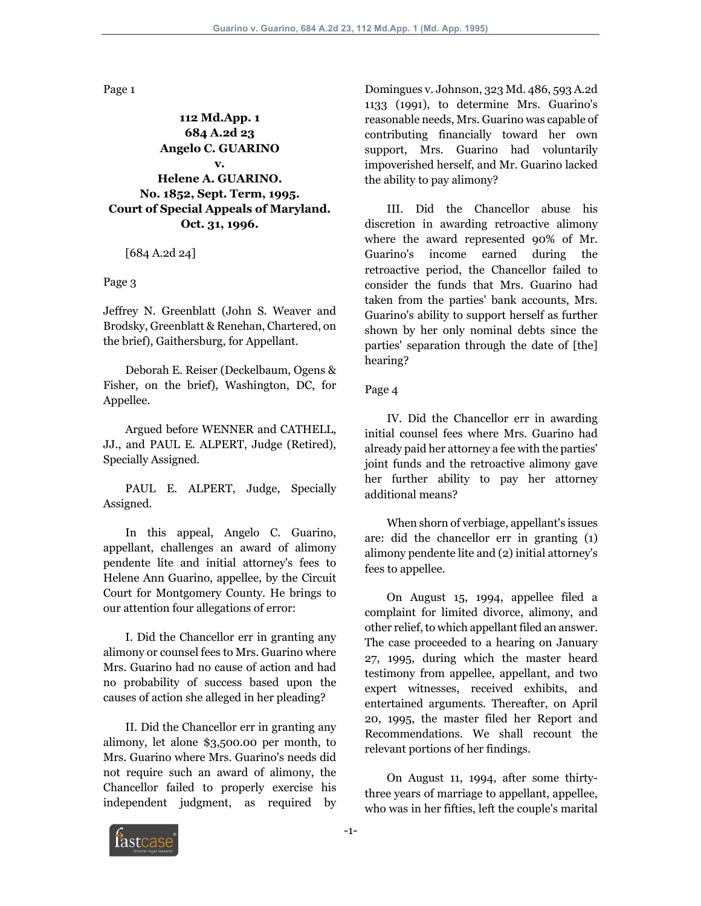Page 1

**112 Md.App. 1 684 A.2d 23 Angelo C. GUARINO v. Helene A. GUARINO. No. 1852, Sept. Term, 1995. Court of Special Appeals of Maryland. Oct. 31, 1996.**

[684 A.2d 24]

Page 3

Jeffrey N. Greenblatt (John S. Weaver and Brodsky, Greenblatt & Renehan, Chartered, on the brief), Gaithersburg, for Appellant.

 Deborah E. Reiser (Deckelbaum, Ogens & Fisher, on the brief), Washington, DC, for Appellee.

 Argued before WENNER and CATHELL, JJ., and PAUL E. ALPERT, Judge (Retired), Specially Assigned.

 PAUL E. ALPERT, Judge, Specially Assigned.

 In this appeal, Angelo C. Guarino, appellant, challenges an award of alimony pendente lite and initial attorney's fees to Helene Ann Guarino, appellee, by the Circuit Court for Montgomery County. He brings to our attention four allegations of error:

 I. Did the Chancellor err in granting any alimony or counsel fees to Mrs. Guarino where Mrs. Guarino had no cause of action and had no probability of success based upon the causes of action she alleged in her pleading?

 II. Did the Chancellor err in granting any alimony, let alone \$3,500.00 per month, to Mrs. Guarino where Mrs. Guarino's needs did not require such an award of alimony, the Chancellor failed to properly exercise his independent judgment, as required by

Domingues v. Johnson, 323 Md. 486, 593 A.2d 1133 (1991), to determine Mrs. Guarino's reasonable needs, Mrs. Guarino was capable of contributing financially toward her own support, Mrs. Guarino had voluntarily impoverished herself, and Mr. Guarino lacked the ability to pay alimony?

 III. Did the Chancellor abuse his discretion in awarding retroactive alimony where the award represented 90% of Mr. Guarino's income earned during the retroactive period, the Chancellor failed to consider the funds that Mrs. Guarino had taken from the parties' bank accounts, Mrs. Guarino's ability to support herself as further shown by her only nominal debts since the parties' separation through the date of [the] hearing?

Page 4

 IV. Did the Chancellor err in awarding initial counsel fees where Mrs. Guarino had already paid her attorney a fee with the parties' joint funds and the retroactive alimony gave her further ability to pay her attorney additional means?

 When shorn of verbiage, appellant's issues are: did the chancellor err in granting (1) alimony pendente lite and (2) initial attorney's fees to appellee.

 On August 15, 1994, appellee filed a complaint for limited divorce, alimony, and other relief, to which appellant filed an answer. The case proceeded to a hearing on January 27, 1995, during which the master heard testimony from appellee, appellant, and two expert witnesses, received exhibits, and entertained arguments. Thereafter, on April 20, 1995, the master filed her Report and Recommendations. We shall recount the relevant portions of her findings.

 On August 11, 1994, after some thirtythree years of marriage to appellant, appellee, who was in her fifties, left the couple's marital

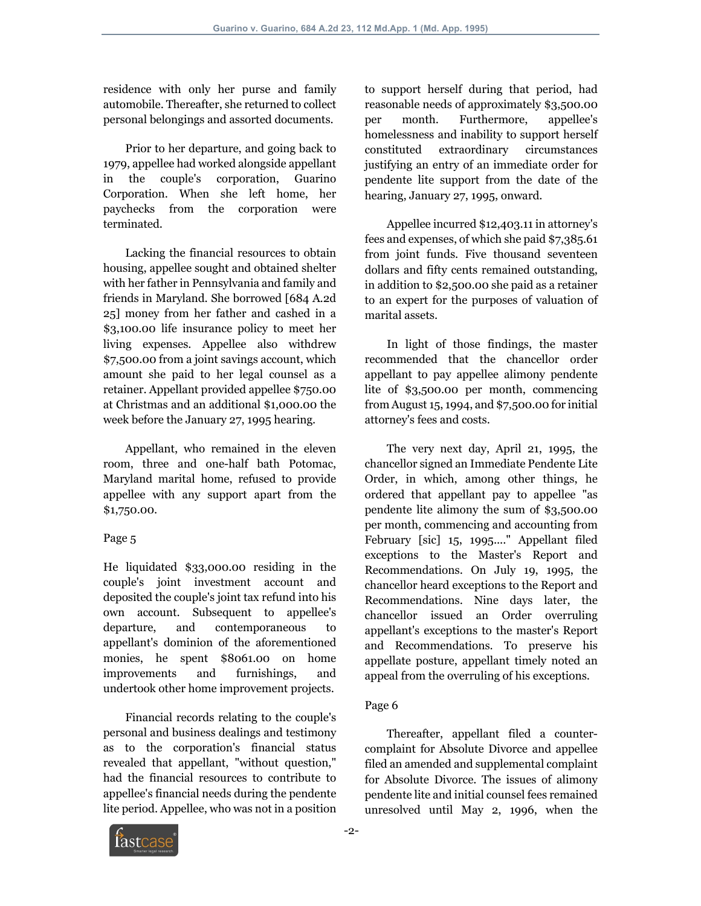residence with only her purse and family automobile. Thereafter, she returned to collect personal belongings and assorted documents.

 Prior to her departure, and going back to 1979, appellee had worked alongside appellant in the couple's corporation, Guarino Corporation. When she left home, her paychecks from the corporation were terminated.

 Lacking the financial resources to obtain housing, appellee sought and obtained shelter with her father in Pennsylvania and family and friends in Maryland. She borrowed [684 A.2d 25] money from her father and cashed in a \$3,100.00 life insurance policy to meet her living expenses. Appellee also withdrew \$7,500.00 from a joint savings account, which amount she paid to her legal counsel as a retainer. Appellant provided appellee \$750.00 at Christmas and an additional \$1,000.00 the week before the January 27, 1995 hearing.

 Appellant, who remained in the eleven room, three and one-half bath Potomac, Maryland marital home, refused to provide appellee with any support apart from the \$1,750.00.

# Page 5

He liquidated \$33,000.00 residing in the couple's joint investment account and deposited the couple's joint tax refund into his own account. Subsequent to appellee's departure, and contemporaneous to appellant's dominion of the aforementioned monies, he spent \$8061.00 on home improvements and furnishings, and undertook other home improvement projects.

 Financial records relating to the couple's personal and business dealings and testimony as to the corporation's financial status revealed that appellant, "without question," had the financial resources to contribute to appellee's financial needs during the pendente lite period. Appellee, who was not in a position to support herself during that period, had reasonable needs of approximately \$3,500.00 per month. Furthermore, appellee's homelessness and inability to support herself constituted extraordinary circumstances justifying an entry of an immediate order for pendente lite support from the date of the hearing, January 27, 1995, onward.

 Appellee incurred \$12,403.11 in attorney's fees and expenses, of which she paid \$7,385.61 from joint funds. Five thousand seventeen dollars and fifty cents remained outstanding, in addition to \$2,500.00 she paid as a retainer to an expert for the purposes of valuation of marital assets.

 In light of those findings, the master recommended that the chancellor order appellant to pay appellee alimony pendente lite of \$3,500.00 per month, commencing from August 15, 1994, and \$7,500.00 for initial attorney's fees and costs.

 The very next day, April 21, 1995, the chancellor signed an Immediate Pendente Lite Order, in which, among other things, he ordered that appellant pay to appellee "as pendente lite alimony the sum of \$3,500.00 per month, commencing and accounting from February [sic] 15, 1995...." Appellant filed exceptions to the Master's Report and Recommendations. On July 19, 1995, the chancellor heard exceptions to the Report and Recommendations. Nine days later, the chancellor issued an Order overruling appellant's exceptions to the master's Report and Recommendations. To preserve his appellate posture, appellant timely noted an appeal from the overruling of his exceptions.

# Page 6

 Thereafter, appellant filed a countercomplaint for Absolute Divorce and appellee filed an amended and supplemental complaint for Absolute Divorce. The issues of alimony pendente lite and initial counsel fees remained unresolved until May 2, 1996, when the

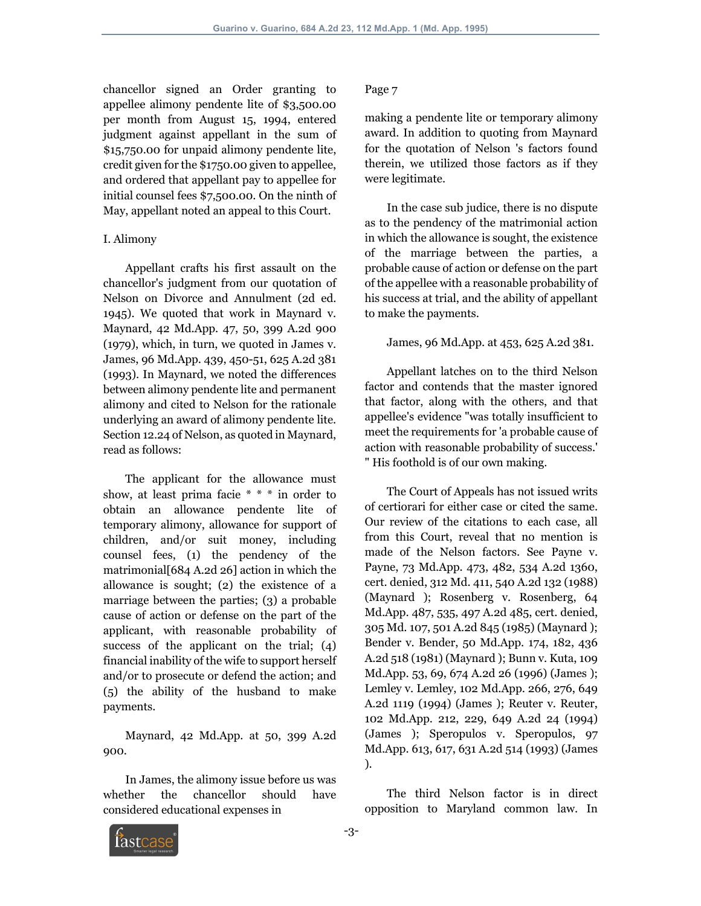chancellor signed an Order granting to appellee alimony pendente lite of \$3,500.00 per month from August 15, 1994, entered judgment against appellant in the sum of \$15,750.00 for unpaid alimony pendente lite, credit given for the \$1750.00 given to appellee, and ordered that appellant pay to appellee for initial counsel fees \$7,500.00. On the ninth of May, appellant noted an appeal to this Court.

#### I. Alimony

 Appellant crafts his first assault on the chancellor's judgment from our quotation of Nelson on Divorce and Annulment (2d ed. 1945). We quoted that work in Maynard v. Maynard, 42 Md.App. 47, 50, 399 A.2d 900 (1979), which, in turn, we quoted in James v. James, 96 Md.App. 439, 450-51, 625 A.2d 381 (1993). In Maynard, we noted the differences between alimony pendente lite and permanent alimony and cited to Nelson for the rationale underlying an award of alimony pendente lite. Section 12.24 of Nelson, as quoted in Maynard, read as follows:

 The applicant for the allowance must show, at least prima facie \* \* \* in order to obtain an allowance pendente lite of temporary alimony, allowance for support of children, and/or suit money, including counsel fees, (1) the pendency of the matrimonial[684 A.2d 26] action in which the allowance is sought; (2) the existence of a marriage between the parties; (3) a probable cause of action or defense on the part of the applicant, with reasonable probability of success of the applicant on the trial; (4) financial inability of the wife to support herself and/or to prosecute or defend the action; and (5) the ability of the husband to make payments.

 Maynard, 42 Md.App. at 50, 399 A.2d 900.

 In James, the alimony issue before us was whether the chancellor should have considered educational expenses in

#### Page 7

making a pendente lite or temporary alimony award. In addition to quoting from Maynard for the quotation of Nelson 's factors found therein, we utilized those factors as if they were legitimate.

 In the case sub judice, there is no dispute as to the pendency of the matrimonial action in which the allowance is sought, the existence of the marriage between the parties, a probable cause of action or defense on the part of the appellee with a reasonable probability of his success at trial, and the ability of appellant to make the payments.

#### James, 96 Md.App. at 453, 625 A.2d 381.

 Appellant latches on to the third Nelson factor and contends that the master ignored that factor, along with the others, and that appellee's evidence "was totally insufficient to meet the requirements for 'a probable cause of action with reasonable probability of success.' " His foothold is of our own making.

 The Court of Appeals has not issued writs of certiorari for either case or cited the same. Our review of the citations to each case, all from this Court, reveal that no mention is made of the Nelson factors. See Payne v. Payne, 73 Md.App. 473, 482, 534 A.2d 1360, cert. denied, 312 Md. 411, 540 A.2d 132 (1988) (Maynard ); Rosenberg v. Rosenberg, 64 Md.App. 487, 535, 497 A.2d 485, cert. denied, 305 Md. 107, 501 A.2d 845 (1985) (Maynard ); Bender v. Bender, 50 Md.App. 174, 182, 436 A.2d 518 (1981) (Maynard ); Bunn v. Kuta, 109 Md.App. 53, 69, 674 A.2d 26 (1996) (James ); Lemley v. Lemley, 102 Md.App. 266, 276, 649 A.2d 1119 (1994) (James ); Reuter v. Reuter, 102 Md.App. 212, 229, 649 A.2d 24 (1994) (James ); Speropulos v. Speropulos, 97 Md.App. 613, 617, 631 A.2d 514 (1993) (James ).

 The third Nelson factor is in direct opposition to Maryland common law. In

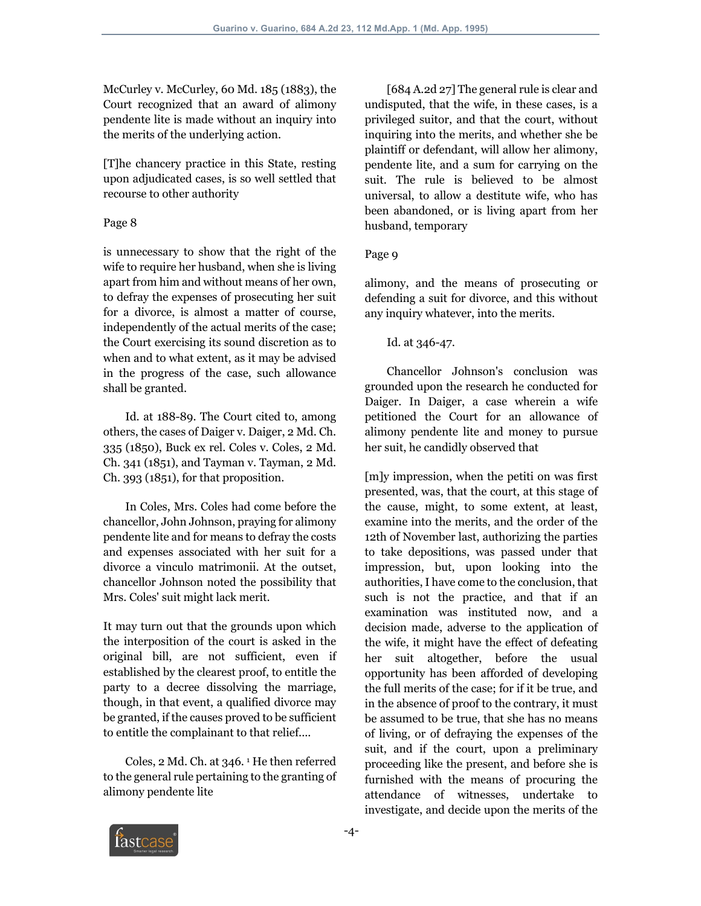McCurley v. McCurley, 60 Md. 185 (1883), the Court recognized that an award of alimony pendente lite is made without an inquiry into the merits of the underlying action.

[T]he chancery practice in this State, resting upon adjudicated cases, is so well settled that recourse to other authority

### Page 8

is unnecessary to show that the right of the wife to require her husband, when she is living apart from him and without means of her own, to defray the expenses of prosecuting her suit for a divorce, is almost a matter of course, independently of the actual merits of the case; the Court exercising its sound discretion as to when and to what extent, as it may be advised in the progress of the case, such allowance shall be granted.

 Id. at 188-89. The Court cited to, among others, the cases of Daiger v. Daiger, 2 Md. Ch. 335 (1850), Buck ex rel. Coles v. Coles, 2 Md. Ch. 341 (1851), and Tayman v. Tayman, 2 Md. Ch. 393 (1851), for that proposition.

 In Coles, Mrs. Coles had come before the chancellor, John Johnson, praying for alimony pendente lite and for means to defray the costs and expenses associated with her suit for a divorce a vinculo matrimonii. At the outset, chancellor Johnson noted the possibility that Mrs. Coles' suit might lack merit.

It may turn out that the grounds upon which the interposition of the court is asked in the original bill, are not sufficient, even if established by the clearest proof, to entitle the party to a decree dissolving the marriage, though, in that event, a qualified divorce may be granted, if the causes proved to be sufficient to entitle the complainant to that relief....

 Coles, 2 Md. Ch. at 346. 1 He then referred to the general rule pertaining to the granting of alimony pendente lite

[684 A.2d 27] The general rule is clear and undisputed, that the wife, in these cases, is a privileged suitor, and that the court, without inquiring into the merits, and whether she be plaintiff or defendant, will allow her alimony, pendente lite, and a sum for carrying on the suit. The rule is believed to be almost universal, to allow a destitute wife, who has been abandoned, or is living apart from her husband, temporary

#### Page 9

alimony, and the means of prosecuting or defending a suit for divorce, and this without any inquiry whatever, into the merits.

#### Id. at 346-47.

 Chancellor Johnson's conclusion was grounded upon the research he conducted for Daiger. In Daiger, a case wherein a wife petitioned the Court for an allowance of alimony pendente lite and money to pursue her suit, he candidly observed that

[m]y impression, when the petiti on was first presented, was, that the court, at this stage of the cause, might, to some extent, at least, examine into the merits, and the order of the 12th of November last, authorizing the parties to take depositions, was passed under that impression, but, upon looking into the authorities, I have come to the conclusion, that such is not the practice, and that if an examination was instituted now, and a decision made, adverse to the application of the wife, it might have the effect of defeating her suit altogether, before the usual opportunity has been afforded of developing the full merits of the case; for if it be true, and in the absence of proof to the contrary, it must be assumed to be true, that she has no means of living, or of defraying the expenses of the suit, and if the court, upon a preliminary proceeding like the present, and before she is furnished with the means of procuring the attendance of witnesses, undertake to investigate, and decide upon the merits of the

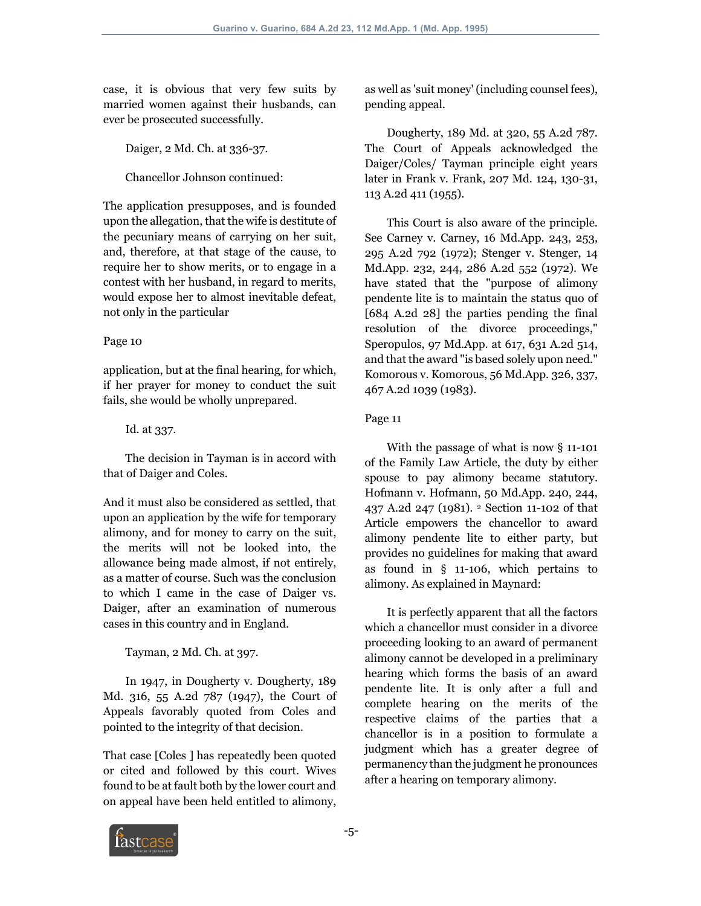case, it is obvious that very few suits by married women against their husbands, can ever be prosecuted successfully.

Daiger, 2 Md. Ch. at 336-37.

Chancellor Johnson continued:

The application presupposes, and is founded upon the allegation, that the wife is destitute of the pecuniary means of carrying on her suit, and, therefore, at that stage of the cause, to require her to show merits, or to engage in a contest with her husband, in regard to merits, would expose her to almost inevitable defeat, not only in the particular

## Page 10

application, but at the final hearing, for which, if her prayer for money to conduct the suit fails, she would be wholly unprepared.

Id. at 337.

 The decision in Tayman is in accord with that of Daiger and Coles.

And it must also be considered as settled, that upon an application by the wife for temporary alimony, and for money to carry on the suit, the merits will not be looked into, the allowance being made almost, if not entirely, as a matter of course. Such was the conclusion to which I came in the case of Daiger vs. Daiger, after an examination of numerous cases in this country and in England.

Tayman, 2 Md. Ch. at 397.

 In 1947, in Dougherty v. Dougherty, 189 Md. 316, 55 A.2d 787 (1947), the Court of Appeals favorably quoted from Coles and pointed to the integrity of that decision.

That case [Coles ] has repeatedly been quoted or cited and followed by this court. Wives found to be at fault both by the lower court and on appeal have been held entitled to alimony,

as well as 'suit money' (including counsel fees), pending appeal.

 Dougherty, 189 Md. at 320, 55 A.2d 787. The Court of Appeals acknowledged the Daiger/Coles/ Tayman principle eight years later in Frank v. Frank, 207 Md. 124, 130-31, 113 A.2d 411 (1955).

 This Court is also aware of the principle. See Carney v. Carney, 16 Md.App. 243, 253, 295 A.2d 792 (1972); Stenger v. Stenger, 14 Md.App. 232, 244, 286 A.2d 552 (1972). We have stated that the "purpose of alimony pendente lite is to maintain the status quo of [684 A.2d 28] the parties pending the final resolution of the divorce proceedings," Speropulos, 97 Md.App. at 617, 631 A.2d 514, and that the award "is based solely upon need." Komorous v. Komorous, 56 Md.App. 326, 337, 467 A.2d 1039 (1983).

## Page 11

 With the passage of what is now § 11-101 of the Family Law Article, the duty by either spouse to pay alimony became statutory. Hofmann v. Hofmann, 50 Md.App. 240, 244, 437 A.2d 247 (1981). 2 Section 11-102 of that Article empowers the chancellor to award alimony pendente lite to either party, but provides no guidelines for making that award as found in § 11-106, which pertains to alimony. As explained in Maynard:

 It is perfectly apparent that all the factors which a chancellor must consider in a divorce proceeding looking to an award of permanent alimony cannot be developed in a preliminary hearing which forms the basis of an award pendente lite. It is only after a full and complete hearing on the merits of the respective claims of the parties that a chancellor is in a position to formulate a judgment which has a greater degree of permanency than the judgment he pronounces after a hearing on temporary alimony.

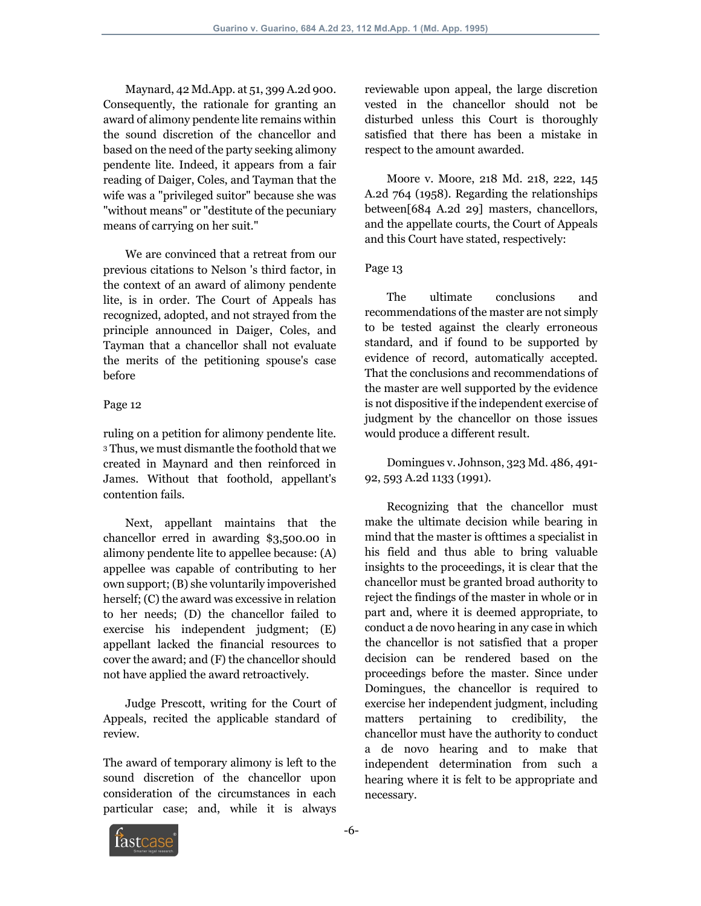Maynard, 42 Md.App. at 51, 399 A.2d 900. Consequently, the rationale for granting an award of alimony pendente lite remains within the sound discretion of the chancellor and based on the need of the party seeking alimony pendente lite. Indeed, it appears from a fair reading of Daiger, Coles, and Tayman that the wife was a "privileged suitor" because she was "without means" or "destitute of the pecuniary means of carrying on her suit."

 We are convinced that a retreat from our previous citations to Nelson 's third factor, in the context of an award of alimony pendente lite, is in order. The Court of Appeals has recognized, adopted, and not strayed from the principle announced in Daiger, Coles, and Tayman that a chancellor shall not evaluate the merits of the petitioning spouse's case before

## Page 12

ruling on a petition for alimony pendente lite. <sup>3</sup> Thus, we must dismantle the foothold that we created in Maynard and then reinforced in James. Without that foothold, appellant's contention fails.

 Next, appellant maintains that the chancellor erred in awarding \$3,500.00 in alimony pendente lite to appellee because: (A) appellee was capable of contributing to her own support; (B) she voluntarily impoverished herself; (C) the award was excessive in relation to her needs; (D) the chancellor failed to exercise his independent judgment; (E) appellant lacked the financial resources to cover the award; and (F) the chancellor should not have applied the award retroactively.

 Judge Prescott, writing for the Court of Appeals, recited the applicable standard of review.

The award of temporary alimony is left to the sound discretion of the chancellor upon consideration of the circumstances in each particular case; and, while it is always reviewable upon appeal, the large discretion vested in the chancellor should not be disturbed unless this Court is thoroughly satisfied that there has been a mistake in respect to the amount awarded.

 Moore v. Moore, 218 Md. 218, 222, 145 A.2d 764 (1958). Regarding the relationships between[684 A.2d 29] masters, chancellors, and the appellate courts, the Court of Appeals and this Court have stated, respectively:

## Page 13

 The ultimate conclusions and recommendations of the master are not simply to be tested against the clearly erroneous standard, and if found to be supported by evidence of record, automatically accepted. That the conclusions and recommendations of the master are well supported by the evidence is not dispositive if the independent exercise of judgment by the chancellor on those issues would produce a different result.

 Domingues v. Johnson, 323 Md. 486, 491- 92, 593 A.2d 1133 (1991).

 Recognizing that the chancellor must make the ultimate decision while bearing in mind that the master is ofttimes a specialist in his field and thus able to bring valuable insights to the proceedings, it is clear that the chancellor must be granted broad authority to reject the findings of the master in whole or in part and, where it is deemed appropriate, to conduct a de novo hearing in any case in which the chancellor is not satisfied that a proper decision can be rendered based on the proceedings before the master. Since under Domingues, the chancellor is required to exercise her independent judgment, including matters pertaining to credibility, the chancellor must have the authority to conduct a de novo hearing and to make that independent determination from such a hearing where it is felt to be appropriate and necessary.

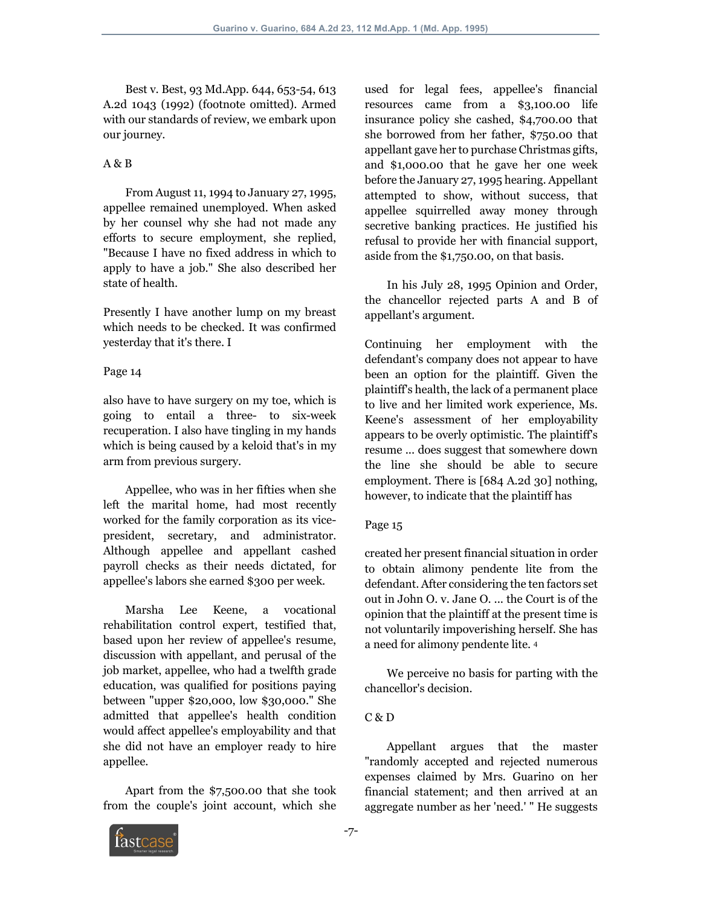Best v. Best, 93 Md.App. 644, 653-54, 613 A.2d 1043 (1992) (footnote omitted). Armed with our standards of review, we embark upon our journey.

## A & B

 From August 11, 1994 to January 27, 1995, appellee remained unemployed. When asked by her counsel why she had not made any efforts to secure employment, she replied, "Because I have no fixed address in which to apply to have a job." She also described her state of health.

Presently I have another lump on my breast which needs to be checked. It was confirmed yesterday that it's there. I

#### Page 14

also have to have surgery on my toe, which is going to entail a three- to six-week recuperation. I also have tingling in my hands which is being caused by a keloid that's in my arm from previous surgery.

 Appellee, who was in her fifties when she left the marital home, had most recently worked for the family corporation as its vicepresident, secretary, and administrator. Although appellee and appellant cashed payroll checks as their needs dictated, for appellee's labors she earned \$300 per week.

 Marsha Lee Keene, a vocational rehabilitation control expert, testified that, based upon her review of appellee's resume, discussion with appellant, and perusal of the job market, appellee, who had a twelfth grade education, was qualified for positions paying between "upper \$20,000, low \$30,000." She admitted that appellee's health condition would affect appellee's employability and that she did not have an employer ready to hire appellee.

 Apart from the \$7,500.00 that she took from the couple's joint account, which she used for legal fees, appellee's financial resources came from a \$3,100.00 life insurance policy she cashed, \$4,700.00 that she borrowed from her father, \$750.00 that appellant gave her to purchase Christmas gifts, and \$1,000.00 that he gave her one week before the January 27, 1995 hearing. Appellant attempted to show, without success, that appellee squirrelled away money through secretive banking practices. He justified his refusal to provide her with financial support, aside from the \$1,750.00, on that basis.

 In his July 28, 1995 Opinion and Order, the chancellor rejected parts A and B of appellant's argument.

Continuing her employment with the defendant's company does not appear to have been an option for the plaintiff. Given the plaintiff's health, the lack of a permanent place to live and her limited work experience, Ms. Keene's assessment of her employability appears to be overly optimistic. The plaintiff's resume ... does suggest that somewhere down the line she should be able to secure employment. There is [684 A.2d 30] nothing, however, to indicate that the plaintiff has

## Page 15

created her present financial situation in order to obtain alimony pendente lite from the defendant. After considering the ten factors set out in John O. v. Jane O. ... the Court is of the opinion that the plaintiff at the present time is not voluntarily impoverishing herself. She has a need for alimony pendente lite. 4

 We perceive no basis for parting with the chancellor's decision.

## C & D

 Appellant argues that the master "randomly accepted and rejected numerous expenses claimed by Mrs. Guarino on her financial statement; and then arrived at an aggregate number as her 'need.' " He suggests

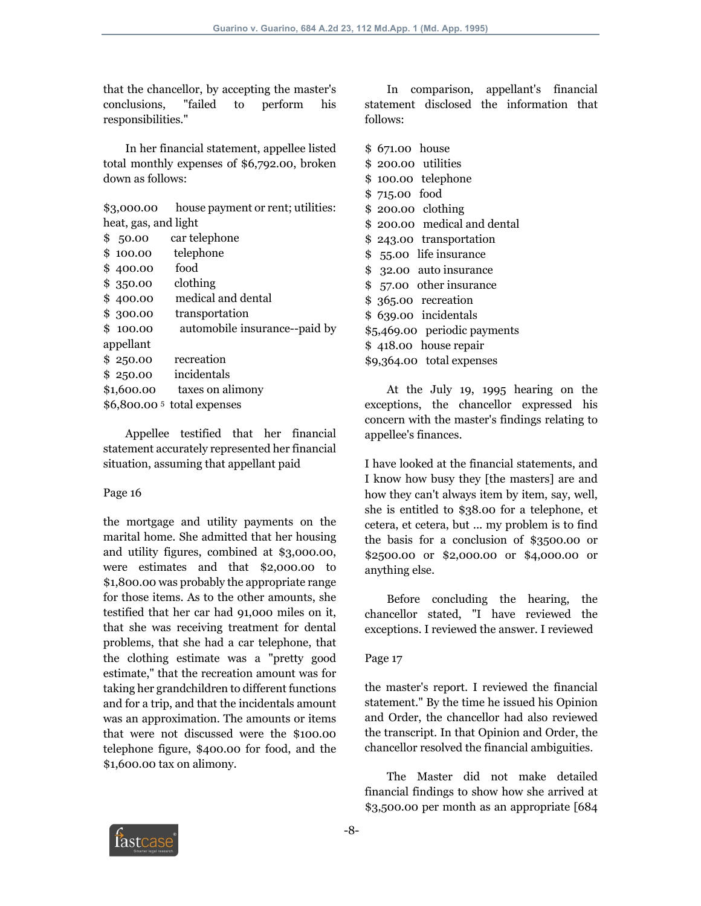that the chancellor, by accepting the master's conclusions, "failed to perform his responsibilities."

 In her financial statement, appellee listed total monthly expenses of \$6,792.00, broken down as follows:

\$3,000.00 house payment or rent; utilities: heat, gas, and light

| \$                             | 50.00     | car telephone                 |  |
|--------------------------------|-----------|-------------------------------|--|
| \$                             | 100.00    | telephone                     |  |
| \$                             | 400.00    | food                          |  |
|                                | \$350.00  | clothing                      |  |
|                                | \$400.00  | medical and dental            |  |
|                                | \$ 300.00 | transportation                |  |
|                                | \$100.00  | automobile insurance--paid by |  |
| appellant                      |           |                               |  |
|                                | \$250.00  | recreation                    |  |
|                                | \$250.00  | incidentals                   |  |
| \$1,600.00<br>taxes on alimony |           |                               |  |
| \$6,800.00 5 total expenses    |           |                               |  |

 Appellee testified that her financial statement accurately represented her financial situation, assuming that appellant paid

#### Page 16

the mortgage and utility payments on the marital home. She admitted that her housing and utility figures, combined at \$3,000.00, were estimates and that \$2,000.00 to \$1,800.00 was probably the appropriate range for those items. As to the other amounts, she testified that her car had 91,000 miles on it, that she was receiving treatment for dental problems, that she had a car telephone, that the clothing estimate was a "pretty good estimate," that the recreation amount was for taking her grandchildren to different functions and for a trip, and that the incidentals amount was an approximation. The amounts or items that were not discussed were the \$100.00 telephone figure, \$400.00 for food, and the \$1,600.00 tax on alimony.

 In comparison, appellant's financial statement disclosed the information that follows:

|                              | \$ 671.00 house             |  |  |
|------------------------------|-----------------------------|--|--|
|                              | \$ 200.00 utilities         |  |  |
|                              | \$ 100.00 telephone         |  |  |
|                              | $$715.00$ food              |  |  |
|                              | $$ 200.00$ clothing         |  |  |
|                              | \$200.00 medical and dental |  |  |
|                              | \$243.00 transportation     |  |  |
|                              | \$ 55.00 life insurance     |  |  |
|                              | \$ 32.00 auto insurance     |  |  |
|                              | \$ 57.00 other insurance    |  |  |
|                              | \$ 365.00 recreation        |  |  |
|                              | \$ 639.00 incidentals       |  |  |
| \$5,469.00 periodic payments |                             |  |  |
|                              | \$418.00 house repair       |  |  |
| \$9,364.00 total expenses    |                             |  |  |
|                              |                             |  |  |

 At the July 19, 1995 hearing on the exceptions, the chancellor expressed his concern with the master's findings relating to appellee's finances.

I have looked at the financial statements, and I know how busy they [the masters] are and how they can't always item by item, say, well, she is entitled to \$38.00 for a telephone, et cetera, et cetera, but ... my problem is to find the basis for a conclusion of \$3500.00 or \$2500.00 or \$2,000.00 or \$4,000.00 or anything else.

 Before concluding the hearing, the chancellor stated, "I have reviewed the exceptions. I reviewed the answer. I reviewed

## Page 17

the master's report. I reviewed the financial statement." By the time he issued his Opinion and Order, the chancellor had also reviewed the transcript. In that Opinion and Order, the chancellor resolved the financial ambiguities.

 The Master did not make detailed financial findings to show how she arrived at \$3,500.00 per month as an appropriate [684

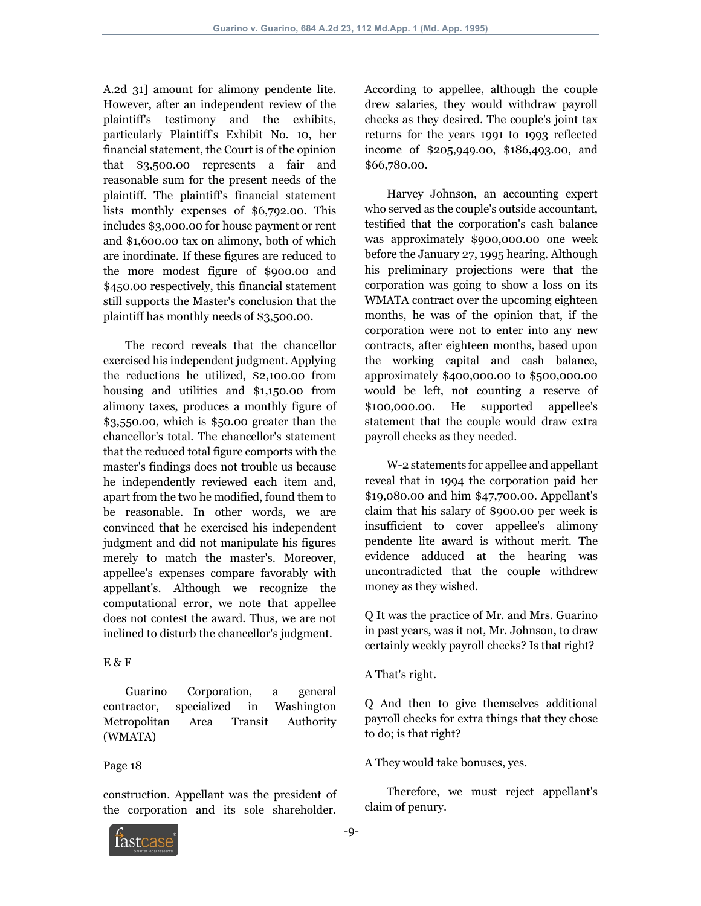A.2d 31] amount for alimony pendente lite. However, after an independent review of the plaintiff's testimony and the exhibits, particularly Plaintiff's Exhibit No. 10, her financial statement, the Court is of the opinion that \$3,500.00 represents a fair and reasonable sum for the present needs of the plaintiff. The plaintiff's financial statement lists monthly expenses of \$6,792.00. This includes \$3,000.00 for house payment or rent and \$1,600.00 tax on alimony, both of which are inordinate. If these figures are reduced to the more modest figure of \$900.00 and \$450.00 respectively, this financial statement still supports the Master's conclusion that the plaintiff has monthly needs of \$3,500.00.

 The record reveals that the chancellor exercised his independent judgment. Applying the reductions he utilized, \$2,100.00 from housing and utilities and \$1,150.00 from alimony taxes, produces a monthly figure of \$3,550.00, which is \$50.00 greater than the chancellor's total. The chancellor's statement that the reduced total figure comports with the master's findings does not trouble us because he independently reviewed each item and, apart from the two he modified, found them to be reasonable. In other words, we are convinced that he exercised his independent judgment and did not manipulate his figures merely to match the master's. Moreover, appellee's expenses compare favorably with appellant's. Although we recognize the computational error, we note that appellee does not contest the award. Thus, we are not inclined to disturb the chancellor's judgment.

## E & F

 Guarino Corporation, a general contractor, specialized in Washington Metropolitan Area Transit Authority (WMATA)

## Page 18

construction. Appellant was the president of the corporation and its sole shareholder. According to appellee, although the couple drew salaries, they would withdraw payroll checks as they desired. The couple's joint tax returns for the years 1991 to 1993 reflected income of \$205,949.00, \$186,493.00, and \$66,780.00.

 Harvey Johnson, an accounting expert who served as the couple's outside accountant, testified that the corporation's cash balance was approximately \$900,000.00 one week before the January 27, 1995 hearing. Although his preliminary projections were that the corporation was going to show a loss on its WMATA contract over the upcoming eighteen months, he was of the opinion that, if the corporation were not to enter into any new contracts, after eighteen months, based upon the working capital and cash balance, approximately \$400,000.00 to \$500,000.00 would be left, not counting a reserve of \$100,000.00. He supported appellee's statement that the couple would draw extra payroll checks as they needed.

 W-2 statements for appellee and appellant reveal that in 1994 the corporation paid her \$19,080.00 and him \$47,700.00. Appellant's claim that his salary of \$900.00 per week is insufficient to cover appellee's alimony pendente lite award is without merit. The evidence adduced at the hearing was uncontradicted that the couple withdrew money as they wished.

Q It was the practice of Mr. and Mrs. Guarino in past years, was it not, Mr. Johnson, to draw certainly weekly payroll checks? Is that right?

## A That's right.

Q And then to give themselves additional payroll checks for extra things that they chose to do; is that right?

#### A They would take bonuses, yes.

 Therefore, we must reject appellant's claim of penury.

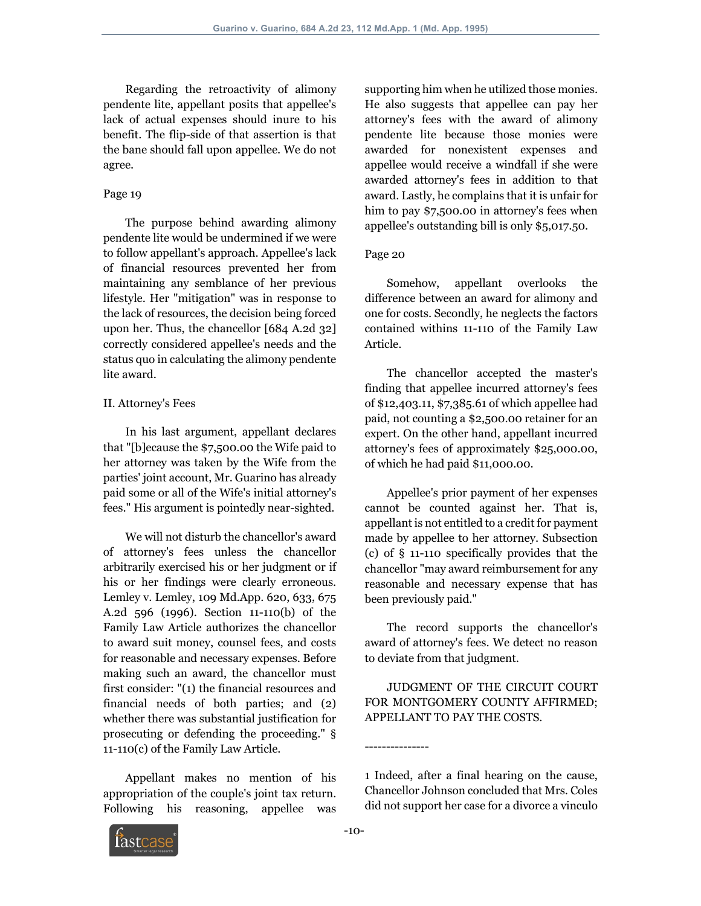Regarding the retroactivity of alimony pendente lite, appellant posits that appellee's lack of actual expenses should inure to his benefit. The flip-side of that assertion is that the bane should fall upon appellee. We do not agree.

## Page 19

 The purpose behind awarding alimony pendente lite would be undermined if we were to follow appellant's approach. Appellee's lack of financial resources prevented her from maintaining any semblance of her previous lifestyle. Her "mitigation" was in response to the lack of resources, the decision being forced upon her. Thus, the chancellor [684 A.2d 32] correctly considered appellee's needs and the status quo in calculating the alimony pendente lite award.

## II. Attorney's Fees

 In his last argument, appellant declares that "[b]ecause the \$7,500.00 the Wife paid to her attorney was taken by the Wife from the parties' joint account, Mr. Guarino has already paid some or all of the Wife's initial attorney's fees." His argument is pointedly near-sighted.

 We will not disturb the chancellor's award of attorney's fees unless the chancellor arbitrarily exercised his or her judgment or if his or her findings were clearly erroneous. Lemley v. Lemley, 109 Md.App. 620, 633, 675 A.2d 596 (1996). Section 11-110(b) of the Family Law Article authorizes the chancellor to award suit money, counsel fees, and costs for reasonable and necessary expenses. Before making such an award, the chancellor must first consider: "(1) the financial resources and financial needs of both parties; and (2) whether there was substantial justification for prosecuting or defending the proceeding." § 11-110(c) of the Family Law Article.

 Appellant makes no mention of his appropriation of the couple's joint tax return. Following his reasoning, appellee was supporting him when he utilized those monies. He also suggests that appellee can pay her attorney's fees with the award of alimony pendente lite because those monies were awarded for nonexistent expenses and appellee would receive a windfall if she were awarded attorney's fees in addition to that award. Lastly, he complains that it is unfair for him to pay \$7,500.00 in attorney's fees when appellee's outstanding bill is only \$5,017.50.

### Page 20

 Somehow, appellant overlooks the difference between an award for alimony and one for costs. Secondly, he neglects the factors contained withins 11-110 of the Family Law Article.

 The chancellor accepted the master's finding that appellee incurred attorney's fees of \$12,403.11, \$7,385.61 of which appellee had paid, not counting a \$2,500.00 retainer for an expert. On the other hand, appellant incurred attorney's fees of approximately \$25,000.00, of which he had paid \$11,000.00.

 Appellee's prior payment of her expenses cannot be counted against her. That is, appellant is not entitled to a credit for payment made by appellee to her attorney. Subsection (c) of § 11-110 specifically provides that the chancellor "may award reimbursement for any reasonable and necessary expense that has been previously paid."

 The record supports the chancellor's award of attorney's fees. We detect no reason to deviate from that judgment.

 JUDGMENT OF THE CIRCUIT COURT FOR MONTGOMERY COUNTY AFFIRMED; APPELLANT TO PAY THE COSTS.



---------------

<sup>1</sup> Indeed, after a final hearing on the cause, Chancellor Johnson concluded that Mrs. Coles did not support her case for a divorce a vinculo